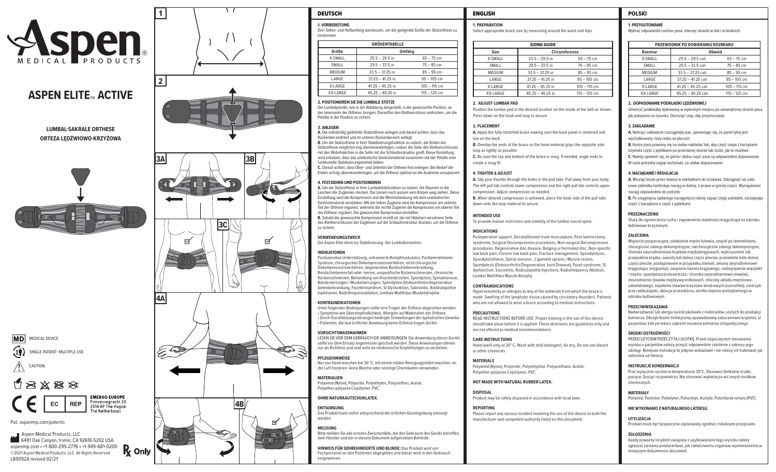

# **ASPEN ELITE ™ ACTIVE**

**LUMBAL-SAKRALE ORTHESE ORTEZA LĘDŹWIOWO-KRZYŻOWA**







Pat. aspenmp.com/patents

 Aspen Medical Products, LLC **6481 Oak Canyon, Irvine, CA 92618-5202 USA** aspenmp.com • +1-800-295-2776 • +1-949-681-0200 **R** Only ©2021 Aspen Medical Products, LLC. All Rights Reserved. LB0052A revised 02/21







| <b>DEUTSCH</b>         | <b>ENGLISH</b>     |               |
|------------------------|--------------------|---------------|
| <b>1. VORBEREITUNG</b> | <b>PREPARATION</b> | <b>PRZYGO</b> |

**1. VORBEREITUNG**<br>Den Taillen- und Hüftumfang ausmessen, um die geeignete Größe der Stützorthese zu bestimmen.

| <b>GRÖßENTABELLE</b> |                    |                |  |  |
|----------------------|--------------------|----------------|--|--|
| Größe                | Umfäng             |                |  |  |
| X-SMALL              | $25.5 - 29.5$ in   | $65 - 75$ cm   |  |  |
| SMALL                | $29.5 - 33.5$ in   | $75 - 85$ cm   |  |  |
| <b>MEDIUM</b>        | $33.5 - 37.25$ in  | $85 - 95$ cm   |  |  |
| LARGE                | $37.25 - 41.25$ in | $95 - 105$ cm  |  |  |
| X-LARGE              | $41.25 - 45.25$ in | $105 - 115$ cm |  |  |
| XX-LARGE             | $45.25 - 49.25$ in | $115 - 125$ cm |  |  |

#### **2. POSITIONIEREN SIE DIE LUMBALE STÜTZE**

Die Lumbalpelotte, wie in der Abbildung dargestellt, in die gewünschte Position, an der Innenseite der Orthese, bringen. Daraufhin den Klettverschluss andrücken, um die Pelotte in der Position zu sichern.

#### **3. ANLEGEN**

**A.** Die vollständig gedehnte Stützorthese anlegen und darauf achten, dass das Rückenteil zentriert und im unteren Rückenbereich anliegt. **B.** Um die Stützorthese in ihrer Stabilisierungsfunktion zu nutzen, die Enden der Stützorthese möglichst eng übereinanderlegen, sodass die Seite des Klettverschlusses mit den Widerhäkchen in die Seite mit der Schlaufenstruktur greift. Diese Einstellung wird erlauben, dass das unelastische Gestrickmaterial zusammen mit der Pelotte eine funktionelle Stabilisierungseinheit bilden.

**C.** Darauf achten, dass Ober- und Unterteil der Orthese fest anliegen. Bei Bedarf die Enden schräg übereinanderlegen, um die Orthese optimal an die Anatomie anzupassen.

#### **4. FESTZIEHEN UND POSITIONIEREN**

**A.** Um die Stützorthese in ihrer Lumbalstützfunktion zu nutzen, die Daumen in die Laschen der Zugleinen stecken. Die Leinen nach aussen vom Körper weg ziehen. Diese Einstellung wird die Kompression und die Wechselwirkung mit dem unelastischen Gestrickmaterial verstärken. Mit der linken Zugleine wird die Kompression am unteren Teil der Orthese reguliert, während die rechte Zugleine die Kompression am oberen Teil der Orthese reguliert. Die gewünschte Kompression einstellen. **B.** Sobald die gewünschte Kompression erzielt ist, die mit Häkchen versehene Seite des Klettverschlusses der Zugleinen auf die Schlaufenstruktur drücken, um die Orthese zu sichern.

**VERWENDUNGSZWECK**

Die Aspen Elite dient zur Stabilisierung des Lumbalbereiches.

#### **INDIKATIONEN**

Postoperative Unterstützung, untrainierte Rumpfmuskulatur, Postlaminektomie-Syndrom, chirurgisches Dekompressionsverfahren, nicht-chirurgische Dekompressionsverfahren, degenerative Bandscheibenerkrankung, Bandscheibenvorfall oder -hernie, unspezifische Rückenschmerzen, chronische Rückenschmerzen, Behandlung von Knochenbrüchen, Spondylose, Spinalstenose, Bänderzerrungen / Muskelzerrungen, Spondylose (Osteoarthritis/degenerative Gelenkerkrankung, Facettensyndrom, SI-Dysfunktion, Sakroiliitis, Radikulopathie Injektionen, Radiofrequenzablation, lumbale Multifidus-Muskelatrophie.

#### **KONTRAINDIKATIONEN**

Unter folgenden Bedingungen sollte vom Tragen der Orthese abgesehen werden: • Symptome wie Überempfindlichkeit, Allergien auf Materialien der Orthese. • Durch Durchblutungsstörungen bedingte Schwellungen der lyphatischen Gewebe. • Patienten, die laut ärztlicher Anweisung keine Orthese tragen dürfen.

#### **VORSICHTSMASSNAHMEN**

LESEN SIE VOR DEM GEBRAUCH DIE ANWEISUNGEN. Die Anwendung dieses Geräts sollte vor dem Einsatz angemessen geschult werden. Diese Anweisungen dienen nur als Richtlinie und sind nicht als medizinische Empfehlungen zu verstehen.

## **PFLEGEHINWEISE**

Nur von Hand waschen bei 30 °C; mit einem milden Reinigungsmittel waschen; an der Luft trocknen; keine Bleiche oder sonstige Chemikalien verwenden.

**MATERIALIEN** Polyamid (Nylon), Polyester, Polyethylen, Polyurethan, Acetal, Polyether-polyurea Copolymer, PVC

#### **OHNE NATURKAUTSCHUKLATEX.**

**ENTSORGUNG** Das Produkt kann sicher entsprechend der örtlichen Gesetzgebung entsorgt werden

**MELDUNG** Bitte melden Sie alle ernsten Zwischenfälle, die den Gebrauch des Geräts betreffen, dem Händler und der in diesem Dokument aufgelisteten Behörde.

**HINWEIS FÜR SEHBEHINDERTE UND BLINDE:** Das Produkt wird von Fachpersonal an den Patienten abgegeben und dieser wird in den Gebrauch eingewiesen.

Select appropriate brace size by measuring around the waist and hips.

| <b>SIZING GUIDE</b> |                    |                |  |
|---------------------|--------------------|----------------|--|
| Size                | Circumference      |                |  |
| X-SMALL             | $25.5 - 29.5$ in   | $65 - 75$ cm   |  |
| SMALL               | $29.5 - 33.5$ in   | $75 - 85$ cm   |  |
| <b>MEDIUM</b>       | $33.5 - 37.25$ in  | $85 - 95$ cm   |  |
| LARGE               | $37.25 - 41.25$ in | $95 - 105$ cm  |  |
| X-LARGE             | $41.25 - 45.25$ in | $105 - 115$ cm |  |
| XX-LARGE            | $45.25 - 49.25$ in | $115 - 125$ cm |  |

#### **2. ADJUST LUMBAR PAD**

Position the lumbar pad in the desired location on the inside of the belt as shown. Press down on the hook and loop to secure.

#### **3. PLACEMENT**

**A.** Apply the fully stretched brace making sure the back panel is centered and low on the back.

**B.** Overlap the ends of the brace so the hook material grips the opposite side loop as tightly as possible.

**C.** Be sure the top and bottom of the brace is snug. If needed, angle ends to create a snug fit.

#### **4. TIGHTEN & ADJUST**

**A.** Slip your thumbs through the holes in the pull tabs. Pull away from your body. The left pull tab controls lower compression and the right pull tab controls upper compression. Adjust compression as needed.

**B.** When desired compression is achieved, place the hook side of the pull tabs down onto the loop material to secure.

#### **INTENDED USE**

To provide motion restriction and stability of the lumbar-sacral spine.

#### **INDICATIONS**

Postoperative support, Deconditioned trunk musculature, Post laminectomy syndrome, Surgical Decompression procedures, Non-surgical Decompression procedures, Degenerative disc disease, Bulging or herniated disc, Non-specific low back pain, Chronic low back pain, Fracture management, Spondylolysis, Spondylolisthesis, Spinal stenosis , Ligament sprains / Muscle strains, Spondylosis (Osteoarthritis/Degenerative Joint Disease), Facet syndrome, SI dysfunction, Sacroiliitis, Radiculopathy Injections, Radiofrequency Ablation, Lumbar Multifidus Muscle Atrophy.

#### **CONTRAINDICATIONS**

Hypersensitivity or allergies to any of the materials from which the brace is made. Swelling of the lymphatic tissue caused by circulatory disorders. Patients who are not allowed to wear a brace according to medical instructions.

#### **PRECAUTIONS**

READ INSTRUCTIONS BEFORE USE. Proper training in the use of this device should take place before it is applied. These directions are guidelines only and are not offered as medical recommendations.

#### **CARE INSTRUCTIONS**

Hand wash only at 30° C; Wash with mild detergent; Air dry; Do not use bleach or other chemicals.

**MATERIALS** Polyamid (Nylon), Polyester, Polyethylene, Polyurethane, Acetal, Polyether-polyurea Copolymer, PVC

#### **NOT MADE WITH NATURAL RUBBER LATEX.**

**DISPOSAL** Product may be safely disposed in accordance with local laws.

**REPORTING** Please report any serious incident involving the use of this device to both the manufacturer and competent authority listed on this document.

### **1. PRZYGOTOWANIE**

Wybrać odpowiedni rozmiar pasa, mierząc obwód w talii i w biodrach.

| PRZEWODNIK PO DOBIERANIU ROZMIARU |                      |                |  |
|-----------------------------------|----------------------|----------------|--|
| Rozmiar                           | Obwód                |                |  |
| <b>X-SMALL</b>                    | $25.5 - 29.5$ cali   | $65 - 75$ cm   |  |
| SMALL                             | $29.5 - 33.5$ cali   | $75 - 85$ cm   |  |
| <b>MEDIUM</b>                     | $33.5 - 37.25$ cali  | $85 - 95$ cm   |  |
| LARGE                             | 37.25 - 41.25 cali   | $95 - 105$ cm  |  |
| X-LARGE                           | $41.25 - 45.25$ cali | $105 - 115$ cm |  |
| XX-LARGE                          | 45.25 - 49.25 cali   | $115 - 125$ cm |  |

#### **2. DOPASOWANIE PODKŁADKI LĘDŹWIOWEJ**

Umieścić podkładkę lędźwiową w wybranym miejscu po wewnętrznej stronie pasa, jak pokazano na rysunku. Docisnąć rzep, aby przymocować.

#### **3. ZAKŁADANIE**

**A.** Nałożyć całkowicie rozciągnięty pas, upewniając się, że panel tylny jest wyśrodkowany i leży nisko na plecach. **B.** Końce pasa powinny się na siebie nakładać tak, aby część rzepa z haczykami trzymała część z pętelkami po przeciwnej stronie tak ściśle, jak to możliwe. **C.** Należy upewnić się, że górna i dolna część pasa są odpowiednio dopasowane.

W razie potrzeby zagiąć końcówki, co ułatwi dopasowanie.

#### **4. NACIĄGANIE I REGULACJA**

**A.** Wsunąć kciuki przez otwory w zakładkach do ściskania. Odciągnąć od ciała. Lewa zakładka kontroluje naciąg w dolnej, a prawa w górnej części. Wyregulować naciąg odpowiednio do potrzeb.

**B.** Po osiągnięciu żądanego naciągnięcia należy zapiąć rzepy zakładek, zaczepiając część z haczykami o część z pętelkami.

#### **PRZEZNACZENIE**

Służy do ograniczenia ruchu i zapewnienia stabilności kręgosłupa na odcinku lędźwiowo-krzyżowym.

#### **ZALECENIA**

Wsparcie pooperacyjne, osłabienie mięśni tułowia, zespół po laminektomii, chirurgiczne zabiegi dekompresyjne, niechirurgiczne zabiegi dekompresyjne, choroba zwyrodnieniowa krążków międzykręgowych, wybrzuszenie lub przepuklina krążka, swoisty ból dolnej części pleców, przewlekłe bóle dolnej części pleców, postępowanie w przypadku złamań, zmiany zwyrodnieniowe kręgosłupa, kręgozmyk, zwężenie kanału kręgowego, nadwyrężenie więzadeł / mięśni, spondyloza (osteoartroza / choroba zwyrodnieniowa stawów), zwyrodnienie stawów międzywyrostkowych, choroby układu mięśniowoszkieletowego, zapalenie stawów krzyżowo-biodrowych (sacroiliitis), zastrzyki przy radikulopatii, ablacja przezskórna, atrofia mięśnia wielodzielnego w odcinku lędźwiowym.

#### **PRZECIWWSKAZANIA**

Nadwrażliwość lub alergia na którykolwiek z materiałów, użytych do produkcji kołnierza. Obrz ęk tkanki limfatycznej spowodowany zaburzeniami krążenia. U pacjentów, którym lekarz zabronił noszenia kołnierza ortopedycznego.

#### **ŚRODKI OSTROŻNOŚCI**

PRZED UŻYCIEM PRZECZYTAJ ULOTKĘ. Przed rozpoczęciem stosowania wyrobu u pacjentów należy przejść odpowiednie szkolenie z zakresu jego obsługi. Niniejsze instrukcje to jedynie wskazówki i nie należy ich traktować jak zalecenia od lekarza.

#### **INSTRUKCJE KONSERWACJI**

Prać wyłącznie ręcznie w temperaturze 30°C; Stosować delikatne środki piorące; Suszyć na powietrzu; Nie stosować wybielacza ani innych środków chemicznych.

#### **MATERIAŁY**

Poliamid, Poliester, Polietylen, Poliuretan, Acetyle, Polichlorek winylu (PVC)

## **NIE WYKONANO Z NATURALNEGO LATEKSU.**

**UTYLIZACJA**

Produkt może być bezpiecznie utylizowany zgodnie z lokalnymi przepisami.

#### **ZGŁOSZENIA**

Każdy poważny incydent związany z użytkowaniem tego wyrobu należy zgłaszać zarówno producentowi, jak i właściwemu organowi wymienionemu w niniejszym dokumencie.document.